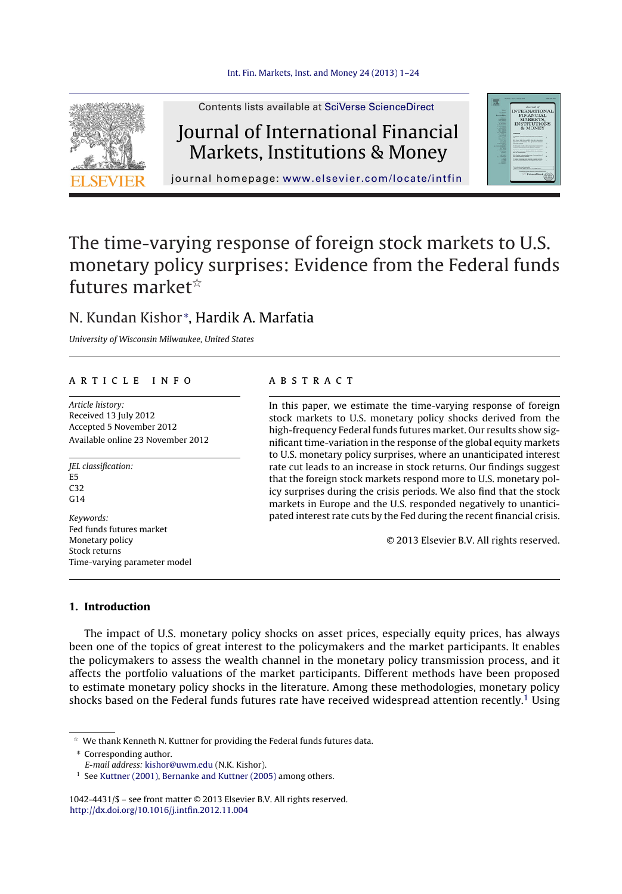

Contents lists available at SciVerse [ScienceDirect](http://www.sciencedirect.com/science/journal/10424431)

# Journal of International Financial Markets, Institutions & Money



journal homepage: [www.elsevier.com/locate/intfin](http://www.elsevier.com/locate/intfin)

# The time-varying response of foreign stock markets to U.S. monetary policy surprises: Evidence from the Federal funds futures market $^{\scriptscriptstyle\star}$

### N. Kundan Kishor <sup>∗</sup> , Hardik A. Marfatia

University of Wisconsin Milwaukee, United States

#### a r t i c l e i n f o

Article history: Received 13 July 2012 Accepted 5 November 2012 Available online 23 November 2012

JEL classification: E5 C32  $C<sub>14</sub>$ 

Keywords: Fed funds futures market Monetary policy Stock returns Time-varying parameter model

#### a b s t r a c t

In this paper, we estimate the time-varying response of foreign stock markets to U.S. monetary policy shocks derived from the high-frequency Federal funds futures market. Our results show significant time-variation in the response of the global equity markets to U.S. monetary policy surprises, where an unanticipated interest rate cut leads to an increase in stock returns. Our findings suggest that the foreign stock markets respond more to U.S. monetary policy surprises during the crisis periods. We also find that the stock markets in Europe and the U.S. responded negatively to unanticipated interest rate cuts by the Fed during the recent financial crisis.

© 2013 Elsevier B.V. All rights reserved.

#### **1. Introduction**

The impact of U.S. monetary policy shocks on asset prices, especially equity prices, has always been one of the topics of great interest to the policymakers and the market participants. It enables the policymakers to assess the wealth channel in the monetary policy transmission process, and it affects the portfolio valuations of the market participants. Different methods have been proposed to estimate monetary policy shocks in the literature. Among these methodologies, monetary policy shocks based on the Federal funds futures rate have received widespread attention recently.<sup>1</sup> Using

 $*$  We thank Kenneth N. Kuttner for providing the Federal funds futures data.

∗ Corresponding author.

E-mail address: [kishor@uwm.edu](mailto:kishor@uwm.edu) (N.K. Kishor).

<sup>&</sup>lt;sup>1</sup> See [Kuttner](#page--1-0) [\(2001\),](#page--1-0) [Bernanke](#page--1-0) [and](#page--1-0) Kuttner [\(2005\)](#page--1-0) among others.

<sup>1042-4431/\$</sup> – see front matter © 2013 Elsevier B.V. All rights reserved. [http://dx.doi.org/10.1016/j.intfin.2012.11.004](dx.doi.org/10.1016/j.intfin.2012.11.004)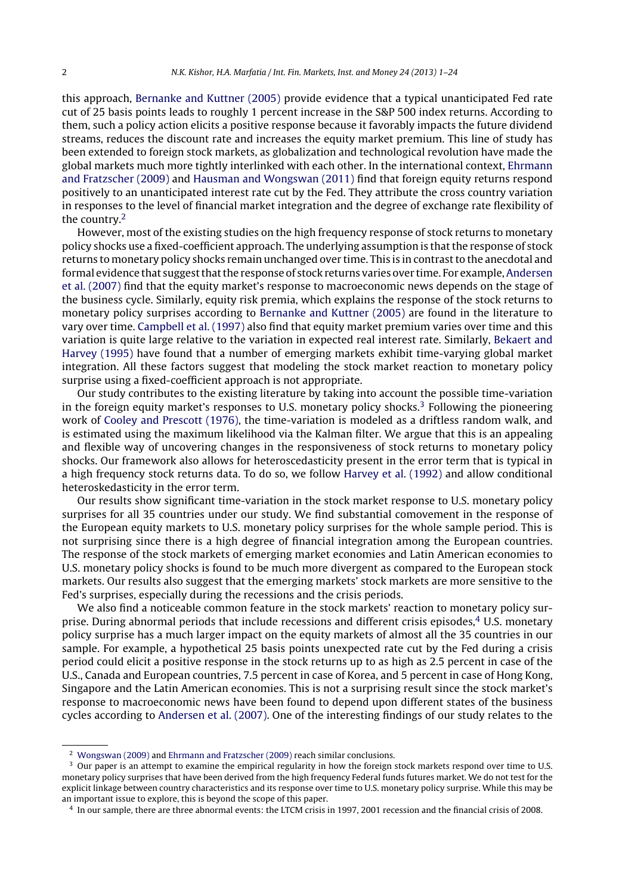this approach, [Bernanke](#page--1-0) [and](#page--1-0) [Kuttner](#page--1-0) [\(2005\)](#page--1-0) provide evidence that a typical unanticipated Fed rate cut of 25 basis points leads to roughly 1 percent increase in the S&P 500 index returns. According to them, such a policy action elicits a positive response because it favorably impacts the future dividend streams, reduces the discount rate and increases the equity market premium. This line of study has been extended to foreign stock markets, as globalization and technological revolution have made the global markets much more tightly interlinked with each other. In the international context, [Ehrmann](#page--1-0) [and](#page--1-0) [Fratzscher](#page--1-0) [\(2009\)](#page--1-0) and [Hausman](#page--1-0) [and](#page--1-0) [Wongswan](#page--1-0) [\(2011\)](#page--1-0) find that foreign equity returns respond positively to an unanticipated interest rate cut by the Fed. They attribute the cross country variation in responses to the level of financial market integration and the degree of exchange rate flexibility of the country.2

However, most of the existing studies on the high frequency response of stock returns to monetary policy shocks use a fixed-coefficient approach. The underlying assumption is that the response of stock returns to monetary policy shocks remain unchanged over time. This is in contrastto the anecdotal and formal evidence that suggest that the response of stock returns varies over time. For example, [Andersen](#page--1-0) et [al.](#page--1-0) [\(2007\)](#page--1-0) find that the equity market's response to macroeconomic news depends on the stage of the business cycle. Similarly, equity risk premia, which explains the response of the stock returns to monetary policy surprises according to [Bernanke](#page--1-0) [and](#page--1-0) [Kuttner](#page--1-0) [\(2005\)](#page--1-0) are found in the literature to vary over time. [Campbell](#page--1-0) et [al.](#page--1-0) [\(1997\)](#page--1-0) also find that equity market premium varies over time and this variation is quite large relative to the variation in expected real interest rate. Similarly, [Bekaert](#page--1-0) [and](#page--1-0) [Harvey](#page--1-0) [\(1995\)](#page--1-0) have found that a number of emerging markets exhibit time-varying global market integration. All these factors suggest that modeling the stock market reaction to monetary policy surprise using a fixed-coefficient approach is not appropriate.

Our study contributes to the existing literature by taking into account the possible time-variation in the foreign equity market's responses to U.S. monetary policy shocks.<sup>3</sup> Following the pioneering work of [Cooley](#page--1-0) [and](#page--1-0) [Prescott](#page--1-0) [\(1976\),](#page--1-0) the time-variation is modeled as a driftless random walk, and is estimated using the maximum likelihood via the Kalman filter. We argue that this is an appealing and flexible way of uncovering changes in the responsiveness of stock returns to monetary policy shocks. Our framework also allows for heteroscedasticity present in the error term that is typical in a high frequency stock returns data. To do so, we follow [Harvey](#page--1-0) et [al.](#page--1-0) [\(1992\)](#page--1-0) and allow conditional heteroskedasticity in the error term.

Our results show significant time-variation in the stock market response to U.S. monetary policy surprises for all 35 countries under our study. We find substantial comovement in the response of the European equity markets to U.S. monetary policy surprises for the whole sample period. This is not surprising since there is a high degree of financial integration among the European countries. The response of the stock markets of emerging market economies and Latin American economies to U.S. monetary policy shocks is found to be much more divergent as compared to the European stock markets. Our results also suggest that the emerging markets' stock markets are more sensitive to the Fed's surprises, especially during the recessions and the crisis periods.

We also find a noticeable common feature in the stock markets' reaction to monetary policy surprise. During abnormal periods that include recessions and different crisis episodes, $4 \text{ U.S.}$  monetary policy surprise has a much larger impact on the equity markets of almost all the 35 countries in our sample. For example, a hypothetical 25 basis points unexpected rate cut by the Fed during a crisis period could elicit a positive response in the stock returns up to as high as 2.5 percent in case of the U.S., Canada and European countries, 7.5 percent in case of Korea, and 5 percent in case of Hong Kong, Singapore and the Latin American economies. This is not a surprising result since the stock market's response to macroeconomic news have been found to depend upon different states of the business cycles according to [Andersen](#page--1-0) et [al.](#page--1-0) [\(2007\).](#page--1-0) One of the interesting findings of our study relates to the

<sup>2</sup> [Wongswan](#page--1-0) [\(2009\)](#page--1-0) and [Ehrmann](#page--1-0) [and](#page--1-0) [Fratzscher](#page--1-0) [\(2009\)](#page--1-0) reach similar conclusions.

<sup>&</sup>lt;sup>3</sup> Our paper is an attempt to examine the empirical regularity in how the foreign stock markets respond over time to U.S. monetary policy surprises that have been derived from the high frequency Federal funds futures market. We do not test for the explicit linkage between country characteristics and its response over time to U.S. monetary policy surprise. While this may be an important issue to explore, this is beyond the scope of this paper.

<sup>4</sup> In our sample, there are three abnormal events: the LTCM crisis in 1997, 2001 recession and the financial crisis of 2008.